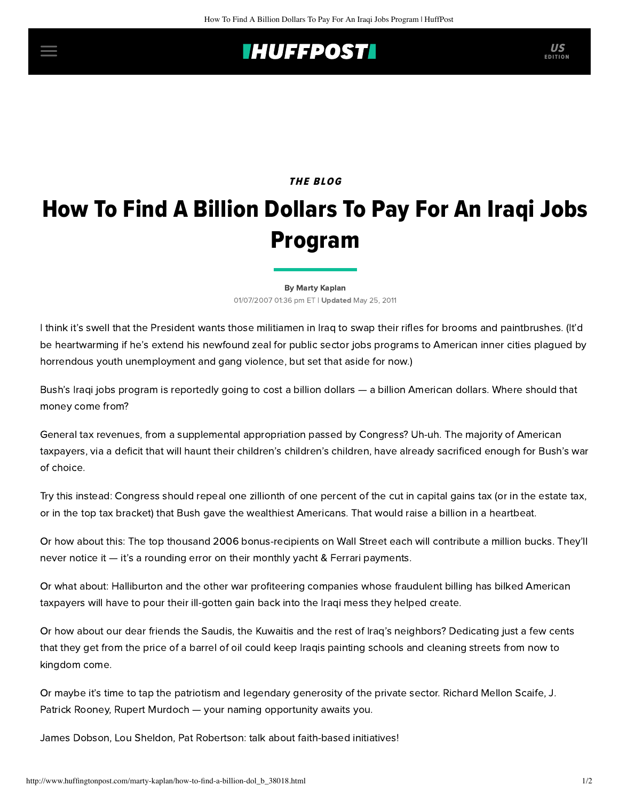## **IHUFFPOSTI** US

## THE BLOG

## How To Find A Billion Dollars To Pay For An Iraqi Jobs Program

[By Marty Kaplan](http://www.huffingtonpost.com/author/marty-kaplan) 01/07/2007 01:36 pm ET | Updated May 25, 2011

I think it's swell that the President wants those militiamen in Iraq to swap their rifles for brooms and paintbrushes. (It'd be heartwarming if he's extend his newfound zeal for public sector jobs programs to American inner cities plagued by horrendous youth unemployment and gang violence, but set that aside for now.)

Bush's Iraqi jobs program is reportedly going to cost a billion dollars — a billion American dollars. Where should that money come from?

General tax revenues, from a supplemental appropriation passed by Congress? Uh-uh. The majority of American taxpayers, via a deficit that will haunt their children's children's children, have already sacrificed enough for Bush's war of choice.

Try this instead: Congress should repeal one zillionth of one percent of the cut in capital gains tax (or in the estate tax, or in the top tax bracket) that Bush gave the wealthiest Americans. That would raise a billion in a heartbeat.

Or how about this: The top thousand 2006 bonus-recipients on Wall Street each will contribute a million bucks. They'll never notice it  $-$  it's a rounding error on their monthly yacht & Ferrari payments.

Or what about: Halliburton and the other war profiteering companies whose fraudulent billing has bilked American taxpayers will have to pour their ill-gotten gain back into the Iraqi mess they helped create.

Or how about our dear friends the Saudis, the Kuwaitis and the rest of Iraq's neighbors? Dedicating just a few cents that they get from the price of a barrel of oil could keep Iraqis painting schools and cleaning streets from now to kingdom come.

Or maybe it's time to tap the patriotism and legendary generosity of the private sector. Richard Mellon Scaife, J. Patrick Rooney, Rupert Murdoch — your naming opportunity awaits you.

James Dobson, Lou Sheldon, Pat Robertson: talk about faith-based initiatives!